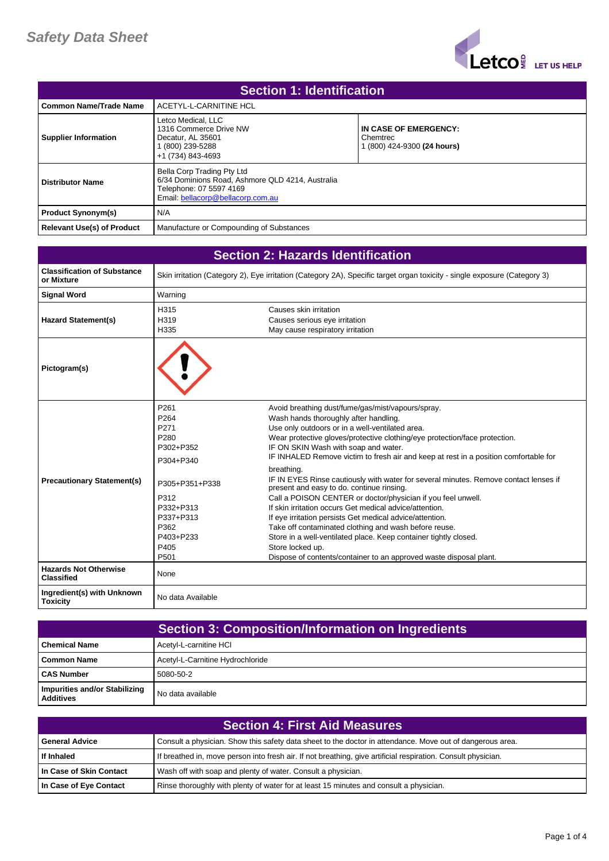

| <b>Section 1: Identification</b>  |                                                                                                                                                |                                                                  |
|-----------------------------------|------------------------------------------------------------------------------------------------------------------------------------------------|------------------------------------------------------------------|
| Common Name/Trade Name            | ACETYL-L-CARNITINE HCL                                                                                                                         |                                                                  |
| <b>Supplier Information</b>       | Letco Medical, LLC<br>1316 Commerce Drive NW<br>Decatur. AL 35601<br>(800) 239-5288<br>+1 (734) 843-4693                                       | IN CASE OF EMERGENCY:<br>Chemtrec<br>1 (800) 424-9300 (24 hours) |
| <b>Distributor Name</b>           | Bella Corp Trading Pty Ltd<br>6/34 Dominions Road, Ashmore QLD 4214, Australia<br>Telephone: 07 5597 4169<br>Email: bellacorp@bellacorp.com.au |                                                                  |
| <b>Product Synonym(s)</b>         | N/A                                                                                                                                            |                                                                  |
| <b>Relevant Use(s) of Product</b> | Manufacture or Compounding of Substances                                                                                                       |                                                                  |

| <b>Section 2: Hazards Identification</b>          |                                                                                                                                                             |                                                                                                                                                                                                                                                                                                                                                                                                                                                                                                                                                                                                                                                                                                                                                                                                                                                                                                                              |
|---------------------------------------------------|-------------------------------------------------------------------------------------------------------------------------------------------------------------|------------------------------------------------------------------------------------------------------------------------------------------------------------------------------------------------------------------------------------------------------------------------------------------------------------------------------------------------------------------------------------------------------------------------------------------------------------------------------------------------------------------------------------------------------------------------------------------------------------------------------------------------------------------------------------------------------------------------------------------------------------------------------------------------------------------------------------------------------------------------------------------------------------------------------|
| <b>Classification of Substance</b><br>or Mixture  |                                                                                                                                                             | Skin irritation (Category 2), Eye irritation (Category 2A), Specific target organ toxicity - single exposure (Category 3)                                                                                                                                                                                                                                                                                                                                                                                                                                                                                                                                                                                                                                                                                                                                                                                                    |
| <b>Signal Word</b>                                | Warning                                                                                                                                                     |                                                                                                                                                                                                                                                                                                                                                                                                                                                                                                                                                                                                                                                                                                                                                                                                                                                                                                                              |
| <b>Hazard Statement(s)</b>                        | H315<br>H319<br>H335                                                                                                                                        | Causes skin irritation<br>Causes serious eye irritation<br>May cause respiratory irritation                                                                                                                                                                                                                                                                                                                                                                                                                                                                                                                                                                                                                                                                                                                                                                                                                                  |
| Pictogram(s)                                      |                                                                                                                                                             |                                                                                                                                                                                                                                                                                                                                                                                                                                                                                                                                                                                                                                                                                                                                                                                                                                                                                                                              |
| <b>Precautionary Statement(s)</b>                 | P261<br>P <sub>264</sub><br>P271<br>P280<br>P302+P352<br>P304+P340<br>P305+P351+P338<br>P312<br>P332+P313<br>P337+P313<br>P362<br>P403+P233<br>P405<br>P501 | Avoid breathing dust/fume/gas/mist/vapours/spray.<br>Wash hands thoroughly after handling.<br>Use only outdoors or in a well-ventilated area.<br>Wear protective gloves/protective clothing/eye protection/face protection.<br>IF ON SKIN Wash with soap and water.<br>IF INHALED Remove victim to fresh air and keep at rest in a position comfortable for<br>breathing.<br>IF IN EYES Rinse cautiously with water for several minutes. Remove contact lenses if<br>present and easy to do. continue rinsing.<br>Call a POISON CENTER or doctor/physician if you feel unwell.<br>If skin irritation occurs Get medical advice/attention.<br>If eye irritation persists Get medical advice/attention.<br>Take off contaminated clothing and wash before reuse.<br>Store in a well-ventilated place. Keep container tightly closed.<br>Store locked up.<br>Dispose of contents/container to an approved waste disposal plant. |
| <b>Hazards Not Otherwise</b><br><b>Classified</b> | None                                                                                                                                                        |                                                                                                                                                                                                                                                                                                                                                                                                                                                                                                                                                                                                                                                                                                                                                                                                                                                                                                                              |
| Ingredient(s) with Unknown<br><b>Toxicity</b>     | No data Available                                                                                                                                           |                                                                                                                                                                                                                                                                                                                                                                                                                                                                                                                                                                                                                                                                                                                                                                                                                                                                                                                              |

|                                                   | <b>Section 3: Composition/Information on Ingredients</b> |
|---------------------------------------------------|----------------------------------------------------------|
| <b>Chemical Name</b>                              | Acetyl-L-carnitine HCI                                   |
| Common Name                                       | Acetyl-L-Carnitine Hydrochloride                         |
| <b>CAS Number</b>                                 | 5080-50-2                                                |
| Impurities and/or Stabilizing<br><b>Additives</b> | No data available                                        |

| <b>Section 4: First Aid Measures</b> |                                                                                                               |
|--------------------------------------|---------------------------------------------------------------------------------------------------------------|
| <b>General Advice</b>                | Consult a physician. Show this safety data sheet to the doctor in attendance. Move out of dangerous area.     |
| If Inhaled                           | If breathed in, move person into fresh air. If not breathing, give artificial respiration. Consult physician. |
| In Case of Skin Contact              | Wash off with soap and plenty of water. Consult a physician.                                                  |
| In Case of Eye Contact               | Rinse thoroughly with plenty of water for at least 15 minutes and consult a physician.                        |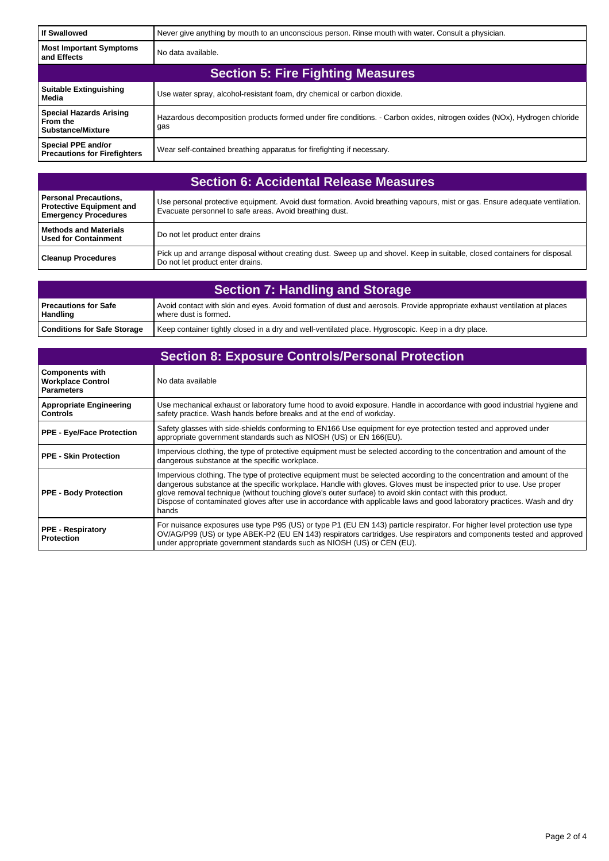| <b>If Swallowed</b>                                                    | Never give anything by mouth to an unconscious person. Rinse mouth with water. Consult a physician.                             |
|------------------------------------------------------------------------|---------------------------------------------------------------------------------------------------------------------------------|
| <b>Most Important Symptoms</b><br>and Effects                          | No data available.                                                                                                              |
| <b>Section 5: Fire Fighting Measures</b>                               |                                                                                                                                 |
| <b>Suitable Extinguishing</b><br>Media                                 | Use water spray, alcohol-resistant foam, dry chemical or carbon dioxide.                                                        |
| <b>Special Hazards Arising</b><br>From the<br><b>Substance/Mixture</b> | Hazardous decomposition products formed under fire conditions. - Carbon oxides, nitrogen oxides (NOx), Hydrogen chloride<br>gas |
| Special PPE and/or<br><b>Precautions for Firefighters</b>              | Wear self-contained breathing apparatus for firefighting if necessary.                                                          |

| <b>Section 6: Accidental Release Measures</b>                                           |                                                                                                                                                                                        |
|-----------------------------------------------------------------------------------------|----------------------------------------------------------------------------------------------------------------------------------------------------------------------------------------|
| Personal Precautions,<br><b>Protective Equipment and</b><br><b>Emergency Procedures</b> | Use personal protective equipment. Avoid dust formation. Avoid breathing vapours, mist or gas. Ensure adequate ventilation.<br>Evacuate personnel to safe areas. Avoid breathing dust. |
| Methods and Materials<br>l Used for Containment                                         | Do not let product enter drains                                                                                                                                                        |
| <b>Cleanup Procedures</b>                                                               | Pick up and arrange disposal without creating dust. Sweep up and shovel. Keep in suitable, closed containers for disposal.<br>Do not let product enter drains.                         |

| <b>Section 7: Handling and Storage</b>    |                                                                                                                                                    |
|-------------------------------------------|----------------------------------------------------------------------------------------------------------------------------------------------------|
| l Precautions for Safe<br><b>Handling</b> | Avoid contact with skin and eyes. Avoid formation of dust and aerosols. Provide appropriate exhaust ventilation at places<br>where dust is formed. |
| <b>Conditions for Safe Storage</b>        | Keep container tightly closed in a dry and well-ventilated place. Hygroscopic. Keep in a dry place.                                                |

| <b>Section 8: Exposure Controls/Personal Protection</b>                 |                                                                                                                                                                                                                                                                                                                                                                                                                                                                                                  |
|-------------------------------------------------------------------------|--------------------------------------------------------------------------------------------------------------------------------------------------------------------------------------------------------------------------------------------------------------------------------------------------------------------------------------------------------------------------------------------------------------------------------------------------------------------------------------------------|
| <b>Components with</b><br><b>Workplace Control</b><br><b>Parameters</b> | No data available                                                                                                                                                                                                                                                                                                                                                                                                                                                                                |
| <b>Appropriate Engineering</b><br><b>Controls</b>                       | Use mechanical exhaust or laboratory fume hood to avoid exposure. Handle in accordance with good industrial hygiene and<br>safety practice. Wash hands before breaks and at the end of workday.                                                                                                                                                                                                                                                                                                  |
| <b>PPE - Eye/Face Protection</b>                                        | Safety glasses with side-shields conforming to EN166 Use equipment for eye protection tested and approved under<br>appropriate government standards such as NIOSH (US) or EN 166(EU).                                                                                                                                                                                                                                                                                                            |
| PPE - Skin Protection                                                   | Impervious clothing, the type of protective equipment must be selected according to the concentration and amount of the<br>dangerous substance at the specific workplace.                                                                                                                                                                                                                                                                                                                        |
| <b>PPE - Body Protection</b>                                            | Impervious clothing. The type of protective equipment must be selected according to the concentration and amount of the<br>dangerous substance at the specific workplace. Handle with gloves. Gloves must be inspected prior to use. Use proper<br>glove removal technique (without touching glove's outer surface) to avoid skin contact with this product.<br>Dispose of contaminated gloves after use in accordance with applicable laws and good laboratory practices. Wash and dry<br>hands |
| <b>PPE - Respiratory</b><br><b>Protection</b>                           | For nuisance exposures use type P95 (US) or type P1 (EU EN 143) particle respirator. For higher level protection use type<br>OV/AG/P99 (US) or type ABEK-P2 (EU EN 143) respirators cartridges. Use respirators and components tested and approved<br>under appropriate government standards such as NIOSH (US) or CEN (EU).                                                                                                                                                                     |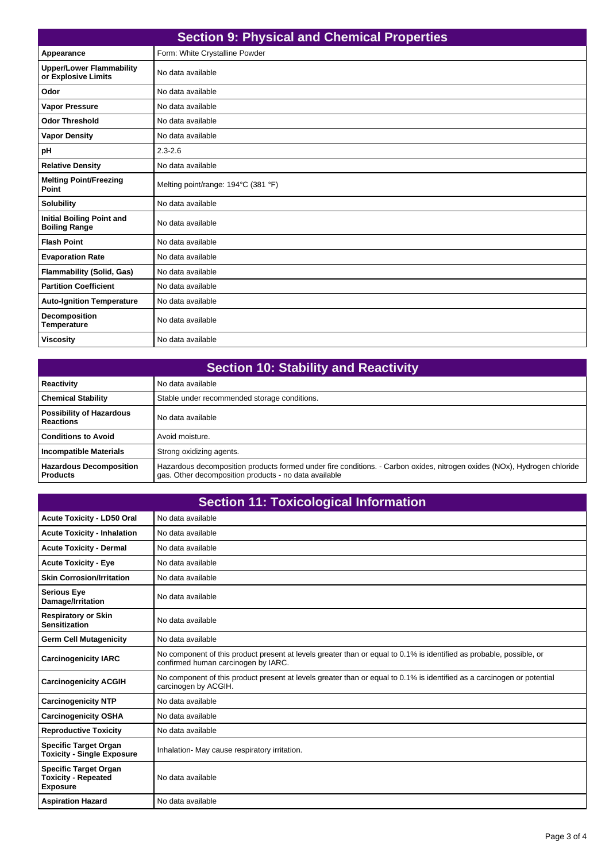| <b>Section 9: Physical and Chemical Properties</b>       |                                     |
|----------------------------------------------------------|-------------------------------------|
| Appearance                                               | Form: White Crystalline Powder      |
| <b>Upper/Lower Flammability</b><br>or Explosive Limits   | No data available                   |
| Odor                                                     | No data available                   |
| <b>Vapor Pressure</b>                                    | No data available                   |
| <b>Odor Threshold</b>                                    | No data available                   |
| <b>Vapor Density</b>                                     | No data available                   |
| pH                                                       | $2.3 - 2.6$                         |
| <b>Relative Density</b>                                  | No data available                   |
| <b>Melting Point/Freezing</b><br>Point                   | Melting point/range: 194°C (381 °F) |
| <b>Solubility</b>                                        | No data available                   |
| <b>Initial Boiling Point and</b><br><b>Boiling Range</b> | No data available                   |
| <b>Flash Point</b>                                       | No data available                   |
| <b>Evaporation Rate</b>                                  | No data available                   |
| <b>Flammability (Solid, Gas)</b>                         | No data available                   |
| <b>Partition Coefficient</b>                             | No data available                   |
| <b>Auto-Ignition Temperature</b>                         | No data available                   |
| <b>Decomposition</b><br><b>Temperature</b>               | No data available                   |
| <b>Viscosity</b>                                         | No data available                   |

| <b>Section 10: Stability and Reactivity</b>         |                                                                                                                                                                                   |
|-----------------------------------------------------|-----------------------------------------------------------------------------------------------------------------------------------------------------------------------------------|
| Reactivity                                          | No data available                                                                                                                                                                 |
| <b>Chemical Stability</b>                           | Stable under recommended storage conditions.                                                                                                                                      |
| <b>Possibility of Hazardous</b><br><b>Reactions</b> | No data available                                                                                                                                                                 |
| <b>Conditions to Avoid</b>                          | Avoid moisture.                                                                                                                                                                   |
| <b>Incompatible Materials</b>                       | Strong oxidizing agents.                                                                                                                                                          |
| <b>Hazardous Decomposition</b><br><b>Products</b>   | Hazardous decomposition products formed under fire conditions. - Carbon oxides, nitrogen oxides (NOx), Hydrogen chloride<br>gas. Other decomposition products - no data available |

| <b>Section 11: Toxicological Information</b>                                  |                                                                                                                                                             |  |
|-------------------------------------------------------------------------------|-------------------------------------------------------------------------------------------------------------------------------------------------------------|--|
| <b>Acute Toxicity - LD50 Oral</b>                                             | No data available                                                                                                                                           |  |
| <b>Acute Toxicity - Inhalation</b>                                            | No data available                                                                                                                                           |  |
| <b>Acute Toxicity - Dermal</b>                                                | No data available                                                                                                                                           |  |
| <b>Acute Toxicity - Eye</b>                                                   | No data available                                                                                                                                           |  |
| <b>Skin Corrosion/Irritation</b>                                              | No data available                                                                                                                                           |  |
| <b>Serious Eye</b><br>Damage/Irritation                                       | No data available                                                                                                                                           |  |
| <b>Respiratory or Skin</b><br><b>Sensitization</b>                            | No data available                                                                                                                                           |  |
| <b>Germ Cell Mutagenicity</b>                                                 | No data available                                                                                                                                           |  |
| <b>Carcinogenicity IARC</b>                                                   | No component of this product present at levels greater than or equal to 0.1% is identified as probable, possible, or<br>confirmed human carcinogen by IARC. |  |
| <b>Carcinogenicity ACGIH</b>                                                  | No component of this product present at levels greater than or equal to 0.1% is identified as a carcinogen or potential<br>carcinogen by ACGIH.             |  |
| <b>Carcinogenicity NTP</b>                                                    | No data available                                                                                                                                           |  |
| <b>Carcinogenicity OSHA</b>                                                   | No data available                                                                                                                                           |  |
| <b>Reproductive Toxicity</b>                                                  | No data available                                                                                                                                           |  |
| <b>Specific Target Organ</b><br><b>Toxicity - Single Exposure</b>             | Inhalation- May cause respiratory irritation.                                                                                                               |  |
| <b>Specific Target Organ</b><br><b>Toxicity - Repeated</b><br><b>Exposure</b> | No data available                                                                                                                                           |  |
| <b>Aspiration Hazard</b>                                                      | No data available                                                                                                                                           |  |